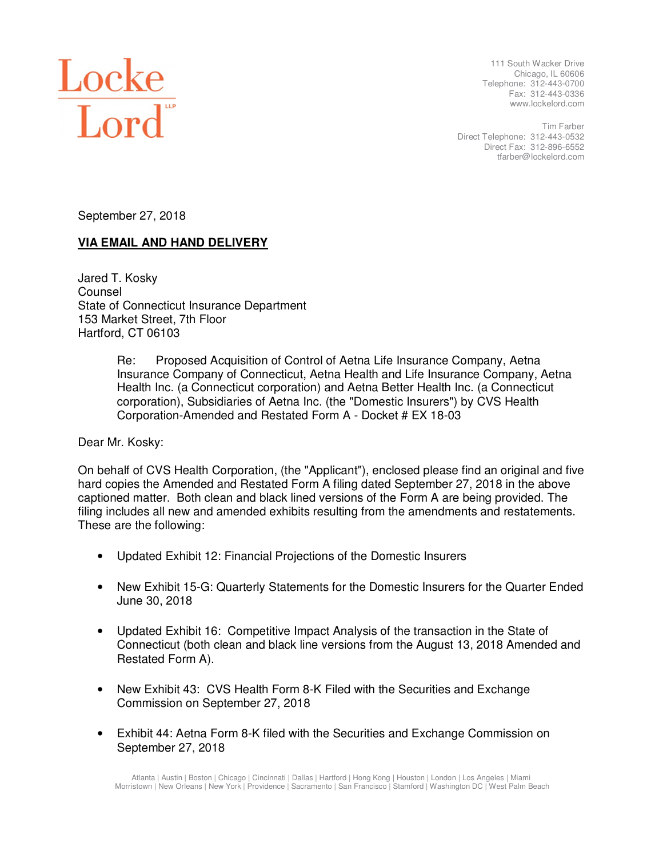

111 South Wacker Drive Chicago, IL 60606 Telephone: 312-443-0700 Fax: 312-443-0336 www.lockelord.com

Tim Farber Direct Telephone: 312-443-0532 Direct Fax: 312-896-6552 tfarber@lockelord.com

September 27, 2018

## **VIA EMAIL AND HAND DELIVERY**

Jared T. Kosky Counsel State of Connecticut Insurance Department 153 Market Street, 7th Floor Hartford, CT 06103

> Re: Proposed Acquisition of Control of Aetna Life Insurance Company, Aetna Insurance Company of Connecticut, Aetna Health and Life Insurance Company, Aetna Health Inc. (a Connecticut corporation) and Aetna Better Health Inc. (a Connecticut corporation), Subsidiaries of Aetna Inc. (the "Domestic Insurers") by CVS Health Corporation-Amended and Restated Form A - Docket # EX 18-03

Dear Mr. Kosky:

On behalf of CVS Health Corporation, (the "Applicant"), enclosed please find an original and five hard copies the Amended and Restated Form A filing dated September 27, 2018 in the above captioned matter. Both clean and black lined versions of the Form A are being provided. The filing includes all new and amended exhibits resulting from the amendments and restatements. These are the following:

- Updated Exhibit 12: Financial Projections of the Domestic Insurers
- New Exhibit 15-G: Quarterly Statements for the Domestic Insurers for the Quarter Ended June 30, 2018
- Updated Exhibit 16: Competitive Impact Analysis of the transaction in the State of Connecticut (both clean and black line versions from the August 13, 2018 Amended and Restated Form A).
- New Exhibit 43: CVS Health Form 8-K Filed with the Securities and Exchange Commission on September 27, 2018
- Exhibit 44: Aetna Form 8-K filed with the Securities and Exchange Commission on September 27, 2018